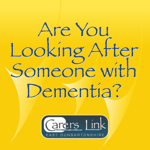# Are You Are You Looking After Looking Atter<br>Someone with Dementia? Dementia?

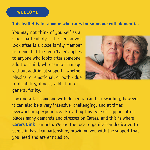## **WELCOME**

## **This leaflet is for anyone who cares for someone with dementia.**

You may not think of yourself as a Carer, particularly if the person you look after is a close family member or friend, but the term 'Carer' applies to anyone who looks after someone, adult or child, who cannot manage without additional support - whether physical or emotional, or both - due to disability, illness, addiction or general frailty.



Looking after someone with dementia can be rewarding, however it can also be a very intensive, challenging, and at times overwhelming experience. Providing this type of support often places many demands and stresses on Carers, and this is where **Carers Link** can help. We are the local organisation dedicated to Carers in East Dunbartonshire, providing you with the support that you need and are entitled to.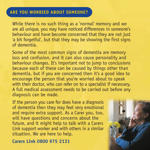## **ARE YOU WORRIED ABOUT SOMEONE?**

While there is no such thing as a 'normal' memory and we are all unique, you may have noticed differences in someone's behaviour and have become concerned that they are not just 'a bit forgetful', but that they may be showing the first signs of dementia.

Some of the most common signs of dementia are memory loss and confusion, and it can also cause personality and behaviour changes. It's important not to jump to conclusions because each of these can be caused by things other than dementia, but if you are concerned then it's a good idea to encourage the person that you're worried about to speak with their doctor, who can refer on to a specialist if necessary. A full medical assessment needs to be carried out before any diagnosis can be made.

If the person you care for does have a diagnosis of dementia then they may feel very emotional and require extra support. As a Carer you, too, will have questions and concerns about the future, and it might help to talk with a Carers Link support worker and with others in a similar situation. We are here to help.

**Carers Link 0800 975 2131**

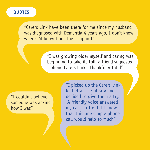## **QUOTES**

"Carers Link have been there for me since my husband was diagnosed with Dementia 4 years ago, I don't know where I'd be without their support"

> "I was growing older myself and caring was beginning to take its toll, a friend suggested I phone Carers Link - thankfully I did"

"I couldn't believe someone was asking how I was"

"I picked up the Carers Link leaflet at the library and decided to give them a try. A friendly voice answered my call - little did I know that this one simple phone call would help so much"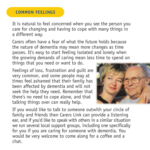### **COMMON FEELINGS**

It is natural to feel concerned when you see the person you care for changing and having to cope with many things in a different way.

Carers often have a fear of what the future holds because the nature of dementia may mean more changes as time passes. It's easy to start feeling isolated and lonely when the growing demands of caring mean less time to spend on things that you need or want to do.

Feelings of loss, frustration and guilt are very common, and some people may at times feel ashamed that their family has been affected by dementia and will not seek the help they need. Remember that there's no need to cope alone, and that talking things over can really help.



If you would like to talk to someone outwith your circle of family and friends then Carers Link can provide a listening ear, and if you'd like to speak with others in a similar situation we run several local support groups, including one specifically for you if you are caring for someone with dementia. You would be very welcome to come along for a coffee and a chat.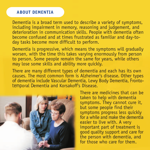#### **ABOUT DEMENTIA**

Dementia is a broad term used to describe a variety of symptoms, including impairment in memory, reasoning and judgement, and deterioration in communication skills. People with dementia often become confused and at times frustrated as familiar and day-today tasks become more difficult to perform.

Dementia is progressive, which means the symptoms will gradually worsen, with the time this takes varying enormously from person to person. Some people remain the same for years, while others may lose some skills and ability more quickly.

There are many different types of dementia and each has its own causes. The most common form is Alzheimer's disease. Other types of dementia include Vascular Dementia, Lewy Body Dementia, Frontotemporal Dementia and Korsakoff's Disease.



There are medicines that can be taken to help with dementia symptoms. They cannot cure it, but some people find their symptoms progress less quickly for a while and make the dementia easier to live with. A very important part of treatment is good quality support and care for the person with dementia, and for those who care for them.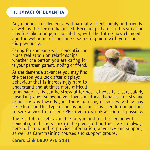## **THE IMPACT OF DEMENTIA**

Any diagnosis of dementia will naturally affect family and friends as well as the person diagnosed. Becoming a Carer in this situation may feel like a huge responsibility, with the future now changed and the wellbeing of someone else resting more with you than it did previously.

Caring for someone with dementia can place real strain on relationships, whether the person you are caring for is your partner, parent, sibling or friend.

As the dementia advances you may find the person you look after displays behaviour that is increasingly hard to understand and at times more difficult



to manage - this can be stressful for both of you. It is particularly upsetting when someone you love sometimes behaves in a strange or hostile way towards you. There are many reasons why they may be exhibiting this type of behaviour, and it is therefore important to seek advice from their CPN or your own GP as soon as possible.

There is lots of help available for you and for the person with dementia, and Carers Link can help you to find this - we are always here to listen, and to provide information, advocacy and support, as well as Carer training courses and support groups.

## **Carers Link 0800 975 2131**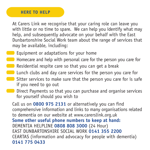#### **HERE TO HELP**

At Carers Link we recognise that your caring role can leave you with little or no time to spare. We can help you identify what may help, and subsequently advocate on your behalf with the East Dunbartonshire Social Work team about the range of services that may be available, including:

- Equipment or adaptations for your home
- **Homecare and help with personal care for the person you care for**
- **Residential respite care so that you can get a break**
- Lunch clubs and day care services for the person you care for
- $\Box$  Sitter services to make sure that the person you care for is safe if you need to go out
- **Direct Payments so that you can purchase and organise services** for yourself should you wish to

Call us on **0800 975 2131** or alternatively you can find comprehensive information and links to many organisations related to dementia on our website at www.carerslink.org.uk **Some other useful phone numbers to keep at hand:** DEMENTIA HELPLINE **0808 808 3000** (24 Hour) EAST DUNBARTONSHIRE SOCIAL WORK **0141 355 2200** CEARTAS (information and advocacy for people with dementia) **0141 775 0433**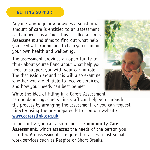## **GETTING SUPPORT**

Anyone who regularly provides a substantial amount of care is entitled to an assessment of their needs as a Carer. This is called a Carers Assessment and aims to find out what help you need with caring, and to help you maintain your own health and wellbeing.

The assessment provides an opportunity to think about yourself and about what help you need to support you with your caring role. The discussion around this will also examine whether you are eligible to receive services, and how your needs can best be met.



While the idea of filling in a Carers Assessment can be daunting, Carers Link staff can help you through the process by arranging the assessment, or you can request directly using the pre-prepared letter on our website **www.carerslink.org.uk**

Importantly, you can also request a **Community Care Assessment**, which assesses the needs of the person you care for. An assessment is required to access most social work services such as Respite or Short Breaks.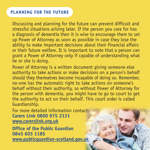## **PLANNING FOR THE FUTURE**

Discussing and planning for the future can prevent difficult and stressful situations arising later. If the person you care for has a diagnosis of dementia then it is wise to encourage them to set up Power of Attorney as soon as possible in case they lose the ability to make important decisions about their financial affairs or their future welfare. It is important to note that a person can grant a Power of Attorney only if capable of understanding what he or she is doing.

Power of Attorney is a written document giving someone else authority to take actions or make decisions on a person's behalf should they themselves become incapable of doing so. Remember, no-one has the automatic right to take actions on someone's behalf without their authority, so without Power of Attorney for the person with dementia, you might have to go to court to get the authority to act on their behalf. This court order is called Guardianship.

For more detailed information contact: **Carers Link 0800 975 2131 www.carerslink.org.uk**

**Office of the Public Guardian 0845 603 1185 www.publicguardian-scotland.gov.uk**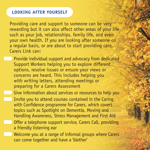## **LOOKING AFTER YOURSELF**

Providing care and support to someone can be very rewarding but it can also affect other areas of your life such as your job, relationships, family life, and even your own health. If you are looking after someone on a regular basis, or are about to start providing care, Carers Link can:

- Provide individual support and advocacy from dedicated Support Workers helping you to explore different options, resolve issues or ensure your views or concerns are heard. This includes helping you with writing letters, attending meetings or preparing for a Carers Assessment
- Give information about services or resources to help you
	- Invite you to attend courses contained in the Caring with Confidence programme for Carers, which covers topics such as Spotlight on Dementia, Moving and Handling Awareness, Stress Management and First Aid
	- Offer a telephone support service, Carers Call, providing a friendly listening ear
	- Welcome you at a range of informal groups where Carers can come together and have a 'blether'